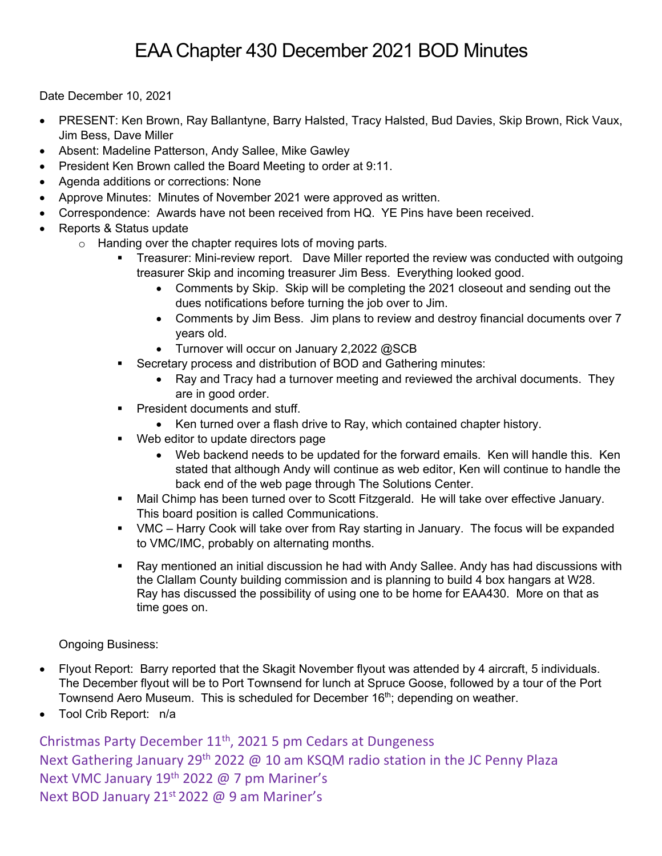Date December 10, 2021

- PRESENT: Ken Brown, Ray Ballantyne, Barry Halsted, Tracy Halsted, Bud Davies, Skip Brown, Rick Vaux, Jim Bess, Dave Miller
- Absent: Madeline Patterson, Andy Sallee, Mike Gawley
- President Ken Brown called the Board Meeting to order at 9:11.
- Agenda additions or corrections: None
- Approve Minutes: Minutes of November 2021 were approved as written.
- Correspondence: Awards have not been received from HQ. YE Pins have been received.
- Reports & Status update
	- o Handing over the chapter requires lots of moving parts.
		- Treasurer: Mini-review report. Dave Miller reported the review was conducted with outgoing treasurer Skip and incoming treasurer Jim Bess. Everything looked good.
			- Comments by Skip. Skip will be completing the 2021 closeout and sending out the dues notifications before turning the job over to Jim.
			- Comments by Jim Bess. Jim plans to review and destroy financial documents over 7 years old.
			- Turnover will occur on January 2,2022 @SCB
		- Secretary process and distribution of BOD and Gathering minutes:
			- Ray and Tracy had a turnover meeting and reviewed the archival documents. They are in good order.
		- President documents and stuff.
		- Ken turned over a flash drive to Ray, which contained chapter history.
		- Web editor to update directors page
			- Web backend needs to be updated for the forward emails. Ken will handle this. Ken stated that although Andy will continue as web editor, Ken will continue to handle the back end of the web page through The Solutions Center.
		- § Mail Chimp has been turned over to Scott Fitzgerald. He will take over effective January. This board position is called Communications.
		- § VMC Harry Cook will take over from Ray starting in January. The focus will be expanded to VMC/IMC, probably on alternating months.
		- Ray mentioned an initial discussion he had with Andy Sallee. Andy has had discussions with the Clallam County building commission and is planning to build 4 box hangars at W28. Ray has discussed the possibility of using one to be home for EAA430. More on that as time goes on.

Ongoing Business:

- Flyout Report: Barry reported that the Skagit November flyout was attended by 4 aircraft, 5 individuals. The December flyout will be to Port Townsend for lunch at Spruce Goose, followed by a tour of the Port Townsend Aero Museum. This is scheduled for December 16<sup>th</sup>; depending on weather.
- Tool Crib Report: n/a

Christmas Party December 11th, 2021 5 pm Cedars at Dungeness Next Gathering January 29<sup>th</sup> 2022 @ 10 am KSQM radio station in the JC Penny Plaza Next VMC January 19<sup>th</sup> 2022 @ 7 pm Mariner's Next BOD January 21<sup>st</sup> 2022 @ 9 am Mariner's